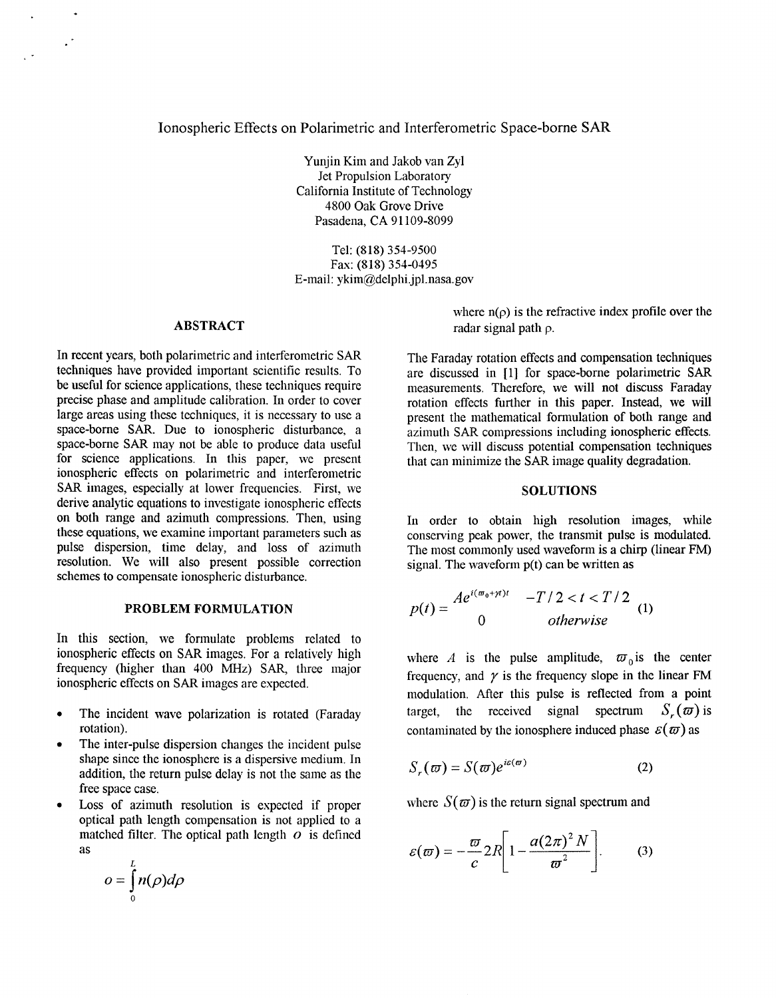# Ionospheric Effects on Polarimetric and Interferometric Space-borne *SAR*

Yunjin Kim and Jakob van Zyl Jet Propulsion Laboratory California Institute of Technology 4800 Oak Grove Drive Pasadena. **CA** 91 109-8099

Tel: (818) 354-9500 Fax: (818) 354-0195 E-mail: [ykim@delphi.jpl.nasa.gov](mailto:ykim@delphi.jpl.nasa.gov)

### **ABSTRACT**

 $\ddot{\phantom{0}}$ 

In recent years, both polarimetric and interferometric *SAR*  techniques have provided important scientific results. To be useful for science applications, these techniques require precise phase and amplitude calibration. In order to cover large areas using these techniques, it is necessary to use a space-borne SAR. Due to ionospheric disturbance, a space-borne *SAR* may not be able to produce data useful for science applications. In this paper, we present ionospheric effects on polarimetric and interferometric SAR images, especially at lower frequencies. First, we derive analytic equations to investigate ionospheric effects on both range and azimuth compressions. Then, using these equations, we examine important parameters such as pulse dispersion, time delay, and loss of azimuth resolution. We will also present possible correction schemes to compensate ionospheric disturbance.

### **PROBLEM FORMULATION**

In this section, we formulate problems related to ionospheric effects on *SAR* images. For a relatively high frequency (higher than 400 MHz) *SAR,* three major ionospheric effects on *SAR* images are expected.

- $\bullet$ The incident wave polarization is rotated (Faraday rotation).
- The inter-pulse dispersion changes the incident pulse  $\bullet$ shape since the ionosphere is a dispersive medium. In addition, the return pulse delay is not the same as the free space case.
- Loss of azimuth resolution is expected if proper  $\bullet$ optical path length compensation is not applied to a matched filter. The optical path length *o* is defined as

$$
o=\int_{0}^{L}n(\rho)d\rho
$$

where  $n(\rho)$  is the refractive index profile over the radar signal path **p.** 

The Faraday rotation effects and compensation techniques are discussed in **[l]** for space-borne polarimetric *SAR*  measurements. Therefore, we will not discuss Faraday rotation effects further in this paper. Instead, we will present the mathematical formulation of both range and azimuth *SAR* compressions including ionospheric effects. Then, we will discuss potential compensation techniques that can minimize the *SAR* image quality degradation.

### **SOLUTIONS**

In order to obtain high resolution images, while conserving peak power, the transmit pulse is modulated. The most commonly used waveform is a chirp (linear FM) signal. The waveform  $p(t)$  can be written as

$$
p(t) = \frac{Ae^{i(\omega_0 + \gamma t)t} - T/2 < t < T/2}{0}
$$
 (1) otherwise

where *A* is the pulse amplitude,  $\varpi_0$  is the center frequency, and  $\gamma$  is the frequency slope in the linear FM modulation. After this pulse is reflected from a point target, the received signal spectrum  $S_r(\omega)$  is contaminated by the ionosphere induced phase  $\mathcal{E}(\omega)$  as

$$
S_r(\omega) = S(\omega)e^{i\varepsilon(\omega)}
$$
 (2)

where  $S(\omega)$  is the return signal spectrum and

$$
\varepsilon(\varpi) = -\frac{\varpi}{c} 2R \left[ 1 - \frac{a(2\pi)^2 N}{\varpi^2} \right].
$$
 (3)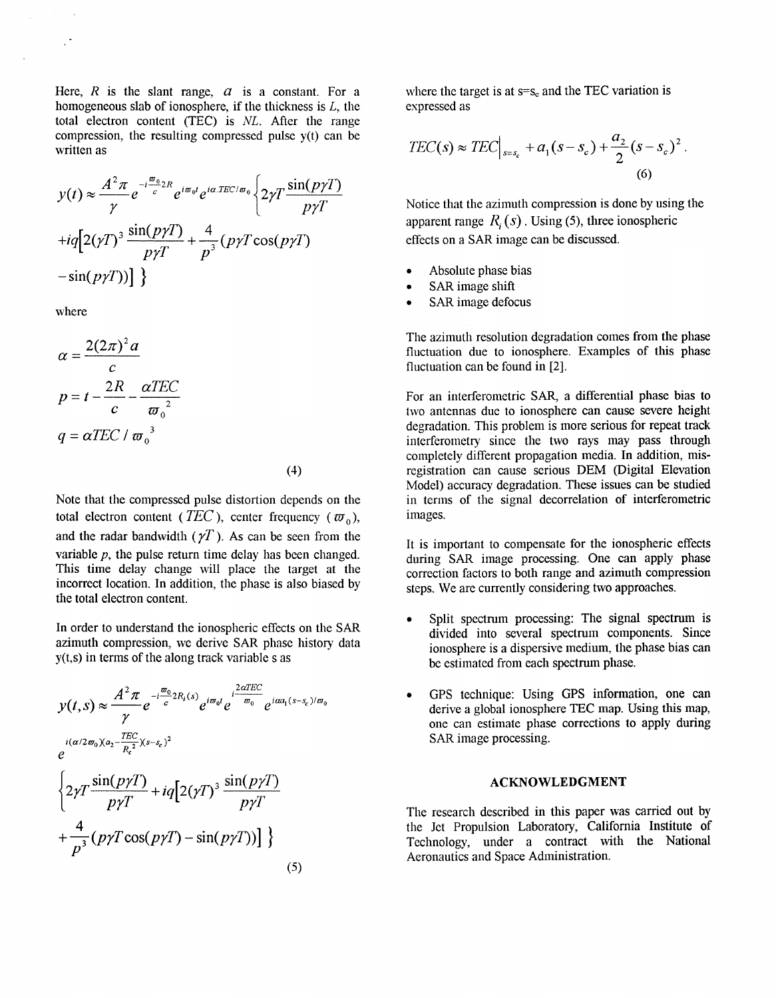Here, *R* is the slant range, *a* is a constant. For a where the target is at  $s=s_c$  and the TEC variation is homogeneous slab of ionosphere, if the thickness is *L*, the expressed as homogeneous slab of ionosphere, if the thickness is  $L$ , the total electron content (TEC) is *NL.* After the range compression, the resulting compressed pulse  $y(t)$  can be written as homogeneous slab of ionosphere, if the thickness is *L*, the<br>
total electron content (TEC) is *NL*. After the range<br>
compression, the resulting compressed pulse y(t) can be<br>  $TEC(s) \approx TEC$ <sub> $s=s_c$ </sub>  $+a_1(s-s_c) + \frac{a_2}{2}(s-s_c)^2$ . final electron content (TEC) is *NL*. After the range<br>
compression, the resulting compressed pulse y(t) can be<br>
written as<br>  $y(t) \approx \frac{A^2 \pi}{\gamma} e^{-i\frac{\pi_0}{c}2R} e^{i\pi_0 t} e^{i\alpha TEC/\pi_0} \left\{ 2\gamma T \frac{\sin(p\gamma T)}{p\gamma T} \right\}$ <br>
Notice that

$$
y(t) \approx \frac{A^2 \pi}{\gamma} e^{-i\frac{\pi}{c}2R} e^{i\pi_0 t} e^{i\alpha TEC/\pi_0} \left\{ 2\gamma T \frac{\sin(p\gamma T)}{p\gamma T} + iq \left[ 2(\gamma T)^3 \frac{\sin(p\gamma T)}{p\gamma T} + \frac{4}{p^3} (p\gamma T \cos(p\gamma T) - \sin(p\gamma T)) \right] \right\}
$$

where

$$
\alpha = \frac{2(2\pi)^2 a}{c}
$$

$$
p = t - \frac{2R}{c} - \frac{\alpha TEC}{\omega_0^2}
$$

$$
q = \alpha TEC / \omega_0^3
$$

Note that the compressed pulse distortion depends on the total electron content (*TEC*), center frequency ( $\varpi_0$ ), and the radar bandwidth  $(\gamma T)$ . As can be seen from the variable *p,* the pulse return time delay has been changed. This time delay change will place the target **at** the incorrect location. In addition, the phase is also biased by the total electron content.

In order to understand the ionospheric effects on the *SAR*  azimuth compression, we derive *SAR* phase history data y(t,s) in terms of the along track variable s as

$$
y(t,s) \approx \frac{A^2 \pi}{\gamma} e^{-i\frac{\omega_0}{c}2R_i(s)} e^{i\omega_0 t} e^{i\frac{2\alpha TEC}{\omega_0}} e^{i\alpha a_1(s-s_c)/\omega_0}
$$
  

$$
e^{i(\alpha/2\omega_0)(a_2 - \frac{TEC}{R_c^2})(s-s_c)^2}
$$
  

$$
\left\{ 2\gamma T \frac{\sin(p\gamma T)}{p\gamma T} + iq \left[ 2(\gamma T)^3 \frac{\sin(p\gamma T)}{p\gamma T} + \frac{4}{p^3} (p\gamma T \cos(p\gamma T) - \sin(p\gamma T)) \right] \right\}
$$
  
(5)

$$
TEC(s) \approx TEC \Big|_{s=s_c} + a_1(s-s_c) + \frac{a_2}{2}(s-s_c)^2.
$$
\n(6)

*<sup>Y</sup>*Notice that the azimuth compression is done by using the  $\frac{\sin(p\gamma T)}{p\gamma T} + \frac{4}{p^3} (p\gamma T \cos(p\gamma T))$  apparent range *R<sub>i</sub>*(*s*). Using (5), three ionospheric effects on a SAR image can be discussed.

- Absolute phase bias
- *0 SAR* image shift
- *0 SAR* image defocus

The azimuth resolution degradation comes from the phase fluctuation due to ionosphere. Examples of this phase fluctuation can be found in **[2].** 

For an interferometric *SAR,* a differential phase bias to two antennas due to ionosphere can cause severe height degradation. This problem is more serious for repeat track interferometry since the two rays may pass through completely different propagation media. In addition, mis-Model) accuracy degradation. These issues can be studied (4) registration can cause serious DEM (Digital Elevation in terms of the signal decorrelation of interferometric images. ince to londs<br>is problem i<br>since the 1<br>erent propag<br>n cause seri<br>y degradatio<br>e signal de

> It is important to compensate for the ionospheric effects during *SAR* image processing. One can apply phase correction factors to both range and azimuth compression steps. We are currently considering two approaches.

- *0* Split spectrum processing: The signal spectrum is divided into several spectrum components. Since ionosphere is a dispersive medium, the phase bias can be estimated from each spectrum phase.
- *0* GPS technique: Using GPS information, one can derive a global ionosphere TEC map. Using this map, one can estimate phase corrections to apply during *SAR* image processing.

#### **ACKNOWLEDGMENT**

The research described in this paper was carried out by the Jet Propulsion Laboratory, California Institute **of**  Technology, under **a** contract with the National Aeronautics and Space Administration.